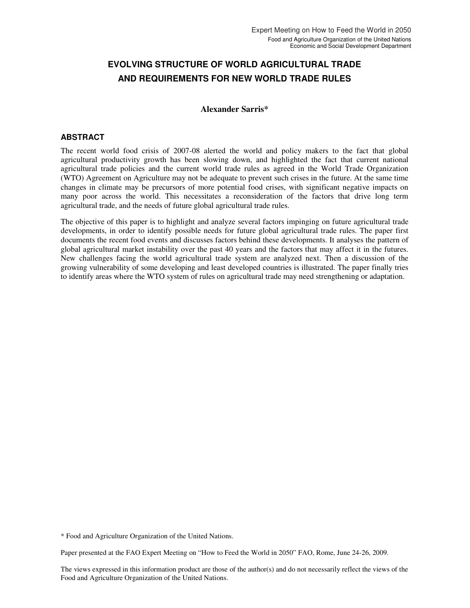# **EVOLVING STRUCTURE OF WORLD AGRICULTURAL TRADE AND REQUIREMENTS FOR NEW WORLD TRADE RULES**

#### **Alexander Sarris\***

#### **ABSTRACT**

The recent world food crisis of 2007-08 alerted the world and policy makers to the fact that global agricultural productivity growth has been slowing down, and highlighted the fact that current national agricultural trade policies and the current world trade rules as agreed in the World Trade Organization (WTO) Agreement on Agriculture may not be adequate to prevent such crises in the future. At the same time changes in climate may be precursors of more potential food crises, with significant negative impacts on many poor across the world. This necessitates a reconsideration of the factors that drive long term agricultural trade, and the needs of future global agricultural trade rules.

The objective of this paper is to highlight and analyze several factors impinging on future agricultural trade developments, in order to identify possible needs for future global agricultural trade rules. The paper first documents the recent food events and discusses factors behind these developments. It analyses the pattern of global agricultural market instability over the past 40 years and the factors that may affect it in the futures. New challenges facing the world agricultural trade system are analyzed next. Then a discussion of the growing vulnerability of some developing and least developed countries is illustrated. The paper finally tries to identify areas where the WTO system of rules on agricultural trade may need strengthening or adaptation.

\* Food and Agriculture Organization of the United Nations.

Paper presented at the FAO Expert Meeting on "How to Feed the World in 2050" FAO, Rome, June 24-26, 2009.

The views expressed in this information product are those of the author(s) and do not necessarily reflect the views of the Food and Agriculture Organization of the United Nations.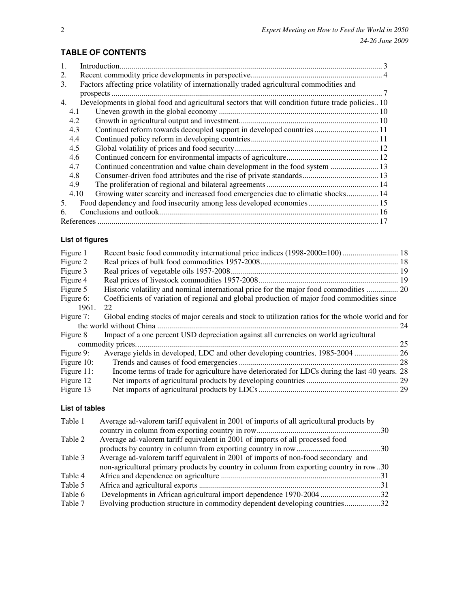| $\mathbf{1}$ . |      |                                                                                                  |
|----------------|------|--------------------------------------------------------------------------------------------------|
| 2.             |      |                                                                                                  |
| 3.             |      | Factors affecting price volatility of internationally traded agricultural commodities and        |
|                |      |                                                                                                  |
| 4.             |      | Developments in global food and agricultural sectors that will condition future trade policies10 |
|                | 4.1  |                                                                                                  |
|                | 4.2  |                                                                                                  |
|                | 4.3  | Continued reform towards decoupled support in developed countries  11                            |
|                | 4.4  |                                                                                                  |
|                | 4.5  |                                                                                                  |
|                | 4.6  |                                                                                                  |
|                | 4.7  | Continued concentration and value chain development in the food system  13                       |
|                | 4.8  |                                                                                                  |
|                | 4.9  |                                                                                                  |
|                | 4.10 | Growing water scarcity and increased food emergencies due to climatic shocks 14                  |
| 5.             |      | Food dependency and food insecurity among less developed economies 15                            |
| 6              |      |                                                                                                  |
|                |      |                                                                                                  |

### **TABLE OF CONTENTS**

#### **List of figures**

| Figure 1      | Recent basic food commodity international price indices (1998-2000=100) 18                        |    |
|---------------|---------------------------------------------------------------------------------------------------|----|
| Figure 2      |                                                                                                   |    |
| Figure 3      |                                                                                                   |    |
| Figure 4      |                                                                                                   |    |
| Figure 5      | Historic volatility and nominal international price for the major food commodities  20            |    |
| Figure 6:     | Coefficients of variation of regional and global production of major food commodities since       |    |
| 1961.         | 22                                                                                                |    |
| Figure 7:     | Global ending stocks of major cereals and stock to utilization ratios for the whole world and for |    |
|               |                                                                                                   | 24 |
| Figure 8      | Impact of a one percent USD depreciation against all currencies on world agricultural             |    |
|               |                                                                                                   | 25 |
| Figure 9:     |                                                                                                   |    |
| Figure 10:    |                                                                                                   |    |
| Figure $11$ : | Income terms of trade for agriculture have deteriorated for LDCs during the last 40 years. 28     |    |
| Figure 12     |                                                                                                   |    |
| Figure 13     |                                                                                                   |    |

### **List of tables**

| Table 1 | Average ad-valorem tariff equivalent in 2001 of imports of all agricultural products by |  |
|---------|-----------------------------------------------------------------------------------------|--|
|         |                                                                                         |  |
| Table 2 | Average ad-valorem tariff equivalent in 2001 of imports of all processed food           |  |
|         |                                                                                         |  |
| Table 3 | Average ad-valorem tariff equivalent in 2001 of imports of non-food secondary and       |  |
|         | non-agricultural primary products by country in column from exporting country in row30  |  |
| Table 4 |                                                                                         |  |
| Table 5 |                                                                                         |  |
| Table 6 | Developments in African agricultural import dependence 1970-2004 32                     |  |
| Table 7 | Evolving production structure in commodity dependent developing countries32             |  |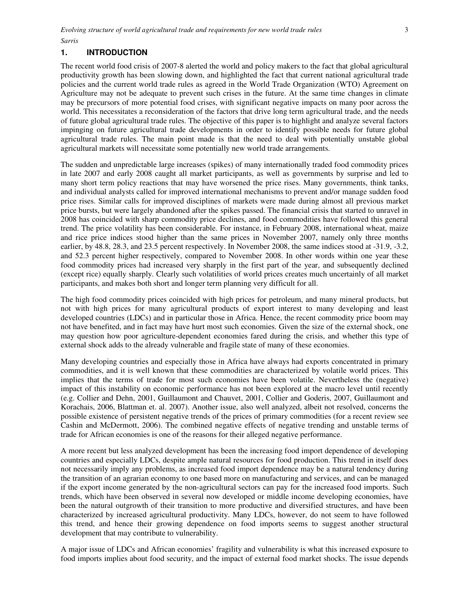### **1. INTRODUCTION**

The recent world food crisis of 2007-8 alerted the world and policy makers to the fact that global agricultural productivity growth has been slowing down, and highlighted the fact that current national agricultural trade policies and the current world trade rules as agreed in the World Trade Organization (WTO) Agreement on Agriculture may not be adequate to prevent such crises in the future. At the same time changes in climate may be precursors of more potential food crises, with significant negative impacts on many poor across the world. This necessitates a reconsideration of the factors that drive long term agricultural trade, and the needs of future global agricultural trade rules. The objective of this paper is to highlight and analyze several factors impinging on future agricultural trade developments in order to identify possible needs for future global agricultural trade rules. The main point made is that the need to deal with potentially unstable global agricultural markets will necessitate some potentially new world trade arrangements.

The sudden and unpredictable large increases (spikes) of many internationally traded food commodity prices in late 2007 and early 2008 caught all market participants, as well as governments by surprise and led to many short term policy reactions that may have worsened the price rises. Many governments, think tanks, and individual analysts called for improved international mechanisms to prevent and/or manage sudden food price rises. Similar calls for improved disciplines of markets were made during almost all previous market price bursts, but were largely abandoned after the spikes passed. The financial crisis that started to unravel in 2008 has coincided with sharp commodity price declines, and food commodities have followed this general trend. The price volatility has been considerable. For instance, in February 2008, international wheat, maize and rice price indices stood higher than the same prices in November 2007, namely only three months earlier, by 48.8, 28.3, and 23.5 percent respectively. In November 2008, the same indices stood at -31.9, -3.2, and 52.3 percent higher respectively, compared to November 2008. In other words within one year these food commodity prices had increased very sharply in the first part of the year, and subsequently declined (except rice) equally sharply. Clearly such volatilities of world prices creates much uncertainly of all market participants, and makes both short and longer term planning very difficult for all.

The high food commodity prices coincided with high prices for petroleum, and many mineral products, but not with high prices for many agricultural products of export interest to many developing and least developed countries (LDCs) and in particular those in Africa. Hence, the recent commodity price boom may not have benefited, and in fact may have hurt most such economies. Given the size of the external shock, one may question how poor agriculture-dependent economies fared during the crisis, and whether this type of external shock adds to the already vulnerable and fragile state of many of these economies.

Many developing countries and especially those in Africa have always had exports concentrated in primary commodities, and it is well known that these commodities are characterized by volatile world prices. This implies that the terms of trade for most such economies have been volatile. Nevertheless the (negative) impact of this instability on economic performance has not been explored at the macro level until recently (e.g. Collier and Dehn, 2001, Guillaumont and Chauvet, 2001, Collier and Goderis, 2007, Guillaumont and Korachais, 2006, Blattman et. al. 2007). Another issue, also well analyzed, albeit not resolved, concerns the possible existence of persistent negative trends of the prices of primary commodities (for a recent review see Cashin and McDermott, 2006). The combined negative effects of negative trending and unstable terms of trade for African economies is one of the reasons for their alleged negative performance.

A more recent but less analyzed development has been the increasing food import dependence of developing countries and especially LDCs, despite ample natural resources for food production. This trend in itself does not necessarily imply any problems, as increased food import dependence may be a natural tendency during the transition of an agrarian economy to one based more on manufacturing and services, and can be managed if the export income generated by the non-agricultural sectors can pay for the increased food imports. Such trends, which have been observed in several now developed or middle income developing economies, have been the natural outgrowth of their transition to more productive and diversified structures, and have been characterized by increased agricultural productivity. Many LDCs, however, do not seem to have followed this trend, and hence their growing dependence on food imports seems to suggest another structural development that may contribute to vulnerability.

A major issue of LDCs and African economies' fragility and vulnerability is what this increased exposure to food imports implies about food security, and the impact of external food market shocks. The issue depends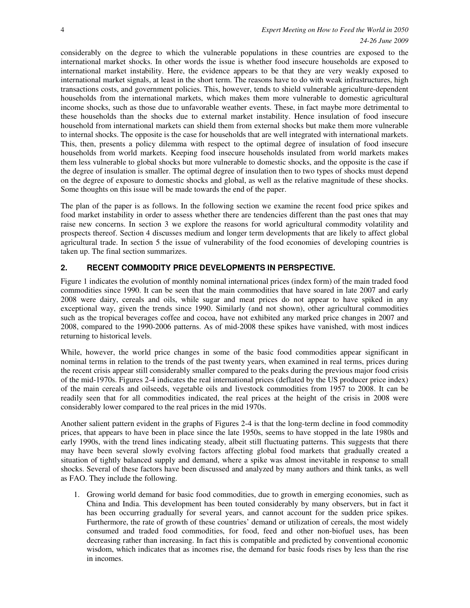considerably on the degree to which the vulnerable populations in these countries are exposed to the international market shocks. In other words the issue is whether food insecure households are exposed to international market instability. Here, the evidence appears to be that they are very weakly exposed to international market signals, at least in the short term. The reasons have to do with weak infrastructures, high transactions costs, and government policies. This, however, tends to shield vulnerable agriculture-dependent households from the international markets, which makes them more vulnerable to domestic agricultural income shocks, such as those due to unfavorable weather events. These, in fact maybe more detrimental to these households than the shocks due to external market instability. Hence insulation of food insecure household from international markets can shield them from external shocks but make them more vulnerable to internal shocks. The opposite is the case for households that are well integrated with international markets. This, then, presents a policy dilemma with respect to the optimal degree of insulation of food insecure households from world markets. Keeping food insecure households insulated from world markets makes them less vulnerable to global shocks but more vulnerable to domestic shocks, and the opposite is the case if the degree of insulation is smaller. The optimal degree of insulation then to two types of shocks must depend on the degree of exposure to domestic shocks and global, as well as the relative magnitude of these shocks. Some thoughts on this issue will be made towards the end of the paper.

The plan of the paper is as follows. In the following section we examine the recent food price spikes and food market instability in order to assess whether there are tendencies different than the past ones that may raise new concerns. In section 3 we explore the reasons for world agricultural commodity volatility and prospects thereof. Section 4 discusses medium and longer term developments that are likely to affect global agricultural trade. In section 5 the issue of vulnerability of the food economies of developing countries is taken up. The final section summarizes.

#### **2. RECENT COMMODITY PRICE DEVELOPMENTS IN PERSPECTIVE.**

Figure 1 indicates the evolution of monthly nominal international prices (index form) of the main traded food commodities since 1990. It can be seen that the main commodities that have soared in late 2007 and early 2008 were dairy, cereals and oils, while sugar and meat prices do not appear to have spiked in any exceptional way, given the trends since 1990. Similarly (and not shown), other agricultural commodities such as the tropical beverages coffee and cocoa, have not exhibited any marked price changes in 2007 and 2008, compared to the 1990-2006 patterns. As of mid-2008 these spikes have vanished, with most indices returning to historical levels.

While, however, the world price changes in some of the basic food commodities appear significant in nominal terms in relation to the trends of the past twenty years, when examined in real terms, prices during the recent crisis appear still considerably smaller compared to the peaks during the previous major food crisis of the mid-1970s. Figures 2-4 indicates the real international prices (deflated by the US producer price index) of the main cereals and oilseeds, vegetable oils and livestock commodities from 1957 to 2008. It can be readily seen that for all commodities indicated, the real prices at the height of the crisis in 2008 were considerably lower compared to the real prices in the mid 1970s.

Another salient pattern evident in the graphs of Figures 2-4 is that the long-term decline in food commodity prices, that appears to have been in place since the late 1950s, seems to have stopped in the late 1980s and early 1990s, with the trend lines indicating steady, albeit still fluctuating patterns. This suggests that there may have been several slowly evolving factors affecting global food markets that gradually created a situation of tightly balanced supply and demand, where a spike was almost inevitable in response to small shocks. Several of these factors have been discussed and analyzed by many authors and think tanks, as well as FAO. They include the following.

1. Growing world demand for basic food commodities, due to growth in emerging economies, such as China and India. This development has been touted considerably by many observers, but in fact it has been occurring gradually for several years, and cannot account for the sudden price spikes. Furthermore, the rate of growth of these countries' demand or utilization of cereals, the most widely consumed and traded food commodities, for food, feed and other non-biofuel uses, has been decreasing rather than increasing. In fact this is compatible and predicted by conventional economic wisdom, which indicates that as incomes rise, the demand for basic foods rises by less than the rise in incomes.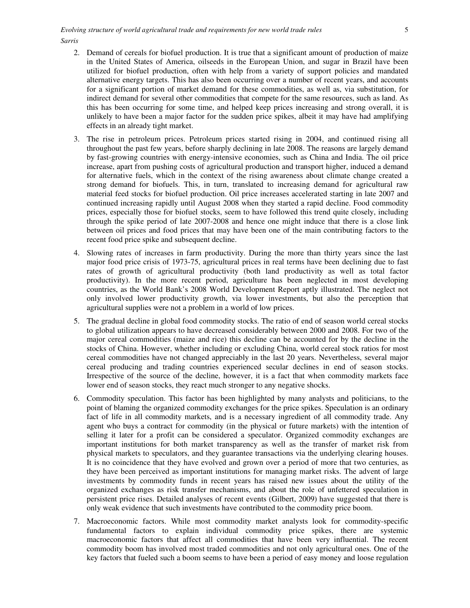- 2. Demand of cereals for biofuel production. It is true that a significant amount of production of maize in the United States of America, oilseeds in the European Union, and sugar in Brazil have been utilized for biofuel production, often with help from a variety of support policies and mandated alternative energy targets. This has also been occurring over a number of recent years, and accounts for a significant portion of market demand for these commodities, as well as, via substitution, for indirect demand for several other commodities that compete for the same resources, such as land. As this has been occurring for some time, and helped keep prices increasing and strong overall, it is unlikely to have been a major factor for the sudden price spikes, albeit it may have had amplifying effects in an already tight market.
- 3. The rise in petroleum prices. Petroleum prices started rising in 2004, and continued rising all throughout the past few years, before sharply declining in late 2008. The reasons are largely demand by fast-growing countries with energy-intensive economies, such as China and India. The oil price increase, apart from pushing costs of agricultural production and transport higher, induced a demand for alternative fuels, which in the context of the rising awareness about climate change created a strong demand for biofuels. This, in turn, translated to increasing demand for agricultural raw material feed stocks for biofuel production. Oil price increases accelerated starting in late 2007 and continued increasing rapidly until August 2008 when they started a rapid decline. Food commodity prices, especially those for biofuel stocks, seem to have followed this trend quite closely, including through the spike period of late 2007-2008 and hence one might induce that there is a close link between oil prices and food prices that may have been one of the main contributing factors to the recent food price spike and subsequent decline.
- 4. Slowing rates of increases in farm productivity. During the more than thirty years since the last major food price crisis of 1973-75, agricultural prices in real terms have been declining due to fast rates of growth of agricultural productivity (both land productivity as well as total factor productivity). In the more recent period, agriculture has been neglected in most developing countries, as the World Bank's 2008 World Development Report aptly illustrated. The neglect not only involved lower productivity growth, via lower investments, but also the perception that agricultural supplies were not a problem in a world of low prices.
- 5. The gradual decline in global food commodity stocks. The ratio of end of season world cereal stocks to global utilization appears to have decreased considerably between 2000 and 2008. For two of the major cereal commodities (maize and rice) this decline can be accounted for by the decline in the stocks of China. However, whether including or excluding China, world cereal stock ratios for most cereal commodities have not changed appreciably in the last 20 years. Nevertheless, several major cereal producing and trading countries experienced secular declines in end of season stocks. Irrespective of the source of the decline, however, it is a fact that when commodity markets face lower end of season stocks, they react much stronger to any negative shocks.
- 6. Commodity speculation. This factor has been highlighted by many analysts and politicians, to the point of blaming the organized commodity exchanges for the price spikes. Speculation is an ordinary fact of life in all commodity markets, and is a necessary ingredient of all commodity trade. Any agent who buys a contract for commodity (in the physical or future markets) with the intention of selling it later for a profit can be considered a speculator. Organized commodity exchanges are important institutions for both market transparency as well as the transfer of market risk from physical markets to speculators, and they guarantee transactions via the underlying clearing houses. It is no coincidence that they have evolved and grown over a period of more that two centuries, as they have been perceived as important institutions for managing market risks. The advent of large investments by commodity funds in recent years has raised new issues about the utility of the organized exchanges as risk transfer mechanisms, and about the role of unfettered speculation in persistent price rises. Detailed analyses of recent events (Gilbert, 2009) have suggested that there is only weak evidence that such investments have contributed to the commodity price boom.
- 7. Macroeconomic factors. While most commodity market analysts look for commodity-specific fundamental factors to explain individual commodity price spikes, there are systemic macroeconomic factors that affect all commodities that have been very influential. The recent commodity boom has involved most traded commodities and not only agricultural ones. One of the key factors that fueled such a boom seems to have been a period of easy money and loose regulation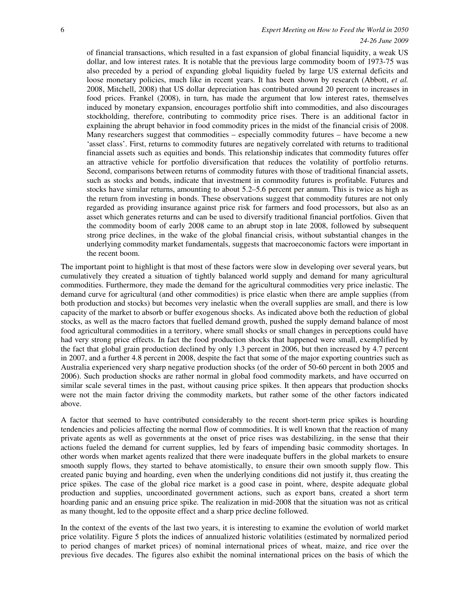#### 6 *Expert Meeting on How to Feed the World in 2050 24-26 June 2009*

of financial transactions, which resulted in a fast expansion of global financial liquidity, a weak US dollar, and low interest rates. It is notable that the previous large commodity boom of 1973-75 was also preceded by a period of expanding global liquidity fueled by large US external deficits and loose monetary policies, much like in recent years. It has been shown by research (Abbott, *et al.* 2008, Mitchell, 2008) that US dollar depreciation has contributed around 20 percent to increases in food prices. Frankel (2008), in turn, has made the argument that low interest rates, themselves induced by monetary expansion, encourages portfolio shift into commodities, and also discourages stockholding, therefore, contributing to commodity price rises. There is an additional factor in explaining the abrupt behavior in food commodity prices in the midst of the financial crisis of 2008. Many researchers suggest that commodities – especially commodity futures – have become a new 'asset class'. First, returns to commodity futures are negatively correlated with returns to traditional financial assets such as equities and bonds. This relationship indicates that commodity futures offer an attractive vehicle for portfolio diversification that reduces the volatility of portfolio returns. Second, comparisons between returns of commodity futures with those of traditional financial assets, such as stocks and bonds, indicate that investment in commodity futures is profitable. Futures and stocks have similar returns, amounting to about 5.2–5.6 percent per annum. This is twice as high as the return from investing in bonds. These observations suggest that commodity futures are not only regarded as providing insurance against price risk for farmers and food processors, but also as an asset which generates returns and can be used to diversify traditional financial portfolios. Given that the commodity boom of early 2008 came to an abrupt stop in late 2008, followed by subsequent strong price declines, in the wake of the global financial crisis, without substantial changes in the underlying commodity market fundamentals, suggests that macroeconomic factors were important in the recent boom.

The important point to highlight is that most of these factors were slow in developing over several years, but cumulatively they created a situation of tightly balanced world supply and demand for many agricultural commodities. Furthermore, they made the demand for the agricultural commodities very price inelastic. The demand curve for agricultural (and other commodities) is price elastic when there are ample supplies (from both production and stocks) but becomes very inelastic when the overall supplies are small, and there is low capacity of the market to absorb or buffer exogenous shocks. As indicated above both the reduction of global stocks, as well as the macro factors that fuelled demand growth, pushed the supply demand balance of most food agricultural commodities in a territory, where small shocks or small changes in perceptions could have had very strong price effects. In fact the food production shocks that happened were small, exemplified by the fact that global grain production declined by only 1.3 percent in 2006, but then increased by 4.7 percent in 2007, and a further 4.8 percent in 2008, despite the fact that some of the major exporting countries such as Australia experienced very sharp negative production shocks (of the order of 50-60 percent in both 2005 and 2006). Such production shocks are rather normal in global food commodity markets, and have occurred on similar scale several times in the past, without causing price spikes. It then appears that production shocks were not the main factor driving the commodity markets, but rather some of the other factors indicated above.

A factor that seemed to have contributed considerably to the recent short-term price spikes is hoarding tendencies and policies affecting the normal flow of commodities. It is well known that the reaction of many private agents as well as governments at the onset of price rises was destabilizing, in the sense that their actions fueled the demand for current supplies, led by fears of impending basic commodity shortages. In other words when market agents realized that there were inadequate buffers in the global markets to ensure smooth supply flows, they started to behave atomistically, to ensure their own smooth supply flow. This created panic buying and hoarding, even when the underlying conditions did not justify it, thus creating the price spikes. The case of the global rice market is a good case in point, where, despite adequate global production and supplies, uncoordinated government actions, such as export bans, created a short term hoarding panic and an ensuing price spike. The realization in mid-2008 that the situation was not as critical as many thought, led to the opposite effect and a sharp price decline followed.

In the context of the events of the last two years, it is interesting to examine the evolution of world market price volatility. Figure 5 plots the indices of annualized historic volatilities (estimated by normalized period to period changes of market prices) of nominal international prices of wheat, maize, and rice over the previous five decades. The figures also exhibit the nominal international prices on the basis of which the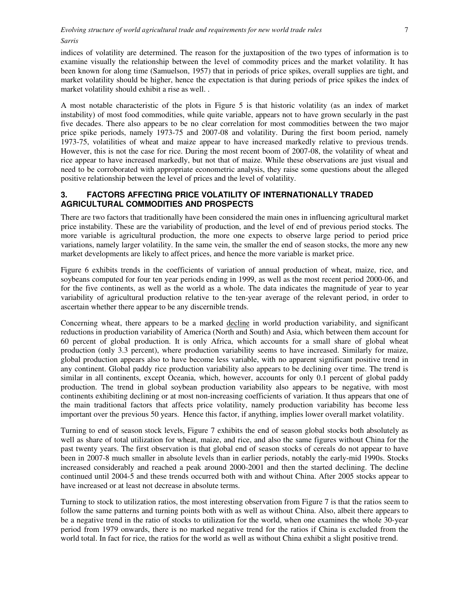indices of volatility are determined. The reason for the juxtaposition of the two types of information is to examine visually the relationship between the level of commodity prices and the market volatility. It has been known for along time (Samuelson, 1957) that in periods of price spikes, overall supplies are tight, and market volatility should be higher, hence the expectation is that during periods of price spikes the index of market volatility should exhibit a rise as well. .

A most notable characteristic of the plots in Figure 5 is that historic volatility (as an index of market instability) of most food commodities, while quite variable, appears not to have grown secularly in the past five decades. There also appears to be no clear correlation for most commodities between the two major price spike periods, namely 1973-75 and 2007-08 and volatility. During the first boom period, namely 1973-75, volatilities of wheat and maize appear to have increased markedly relative to previous trends. However, this is not the case for rice. During the most recent boom of 2007-08, the volatility of wheat and rice appear to have increased markedly, but not that of maize. While these observations are just visual and need to be corroborated with appropriate econometric analysis, they raise some questions about the alleged positive relationship between the level of prices and the level of volatility.

### **3. FACTORS AFFECTING PRICE VOLATILITY OF INTERNATIONALLY TRADED AGRICULTURAL COMMODITIES AND PROSPECTS**

There are two factors that traditionally have been considered the main ones in influencing agricultural market price instability. These are the variability of production, and the level of end of previous period stocks. The more variable is agricultural production, the more one expects to observe large period to period price variations, namely larger volatility. In the same vein, the smaller the end of season stocks, the more any new market developments are likely to affect prices, and hence the more variable is market price.

Figure 6 exhibits trends in the coefficients of variation of annual production of wheat, maize, rice, and soybeans computed for four ten year periods ending in 1999, as well as the most recent period 2000-06, and for the five continents, as well as the world as a whole. The data indicates the magnitude of year to year variability of agricultural production relative to the ten-year average of the relevant period, in order to ascertain whether there appear to be any discernible trends.

Concerning wheat, there appears to be a marked decline in world production variability, and significant reductions in production variability of America (North and South) and Asia, which between them account for 60 percent of global production. It is only Africa, which accounts for a small share of global wheat production (only 3.3 percent), where production variability seems to have increased. Similarly for maize, global production appears also to have become less variable, with no apparent significant positive trend in any continent. Global paddy rice production variability also appears to be declining over time. The trend is similar in all continents, except Oceania, which, however, accounts for only 0.1 percent of global paddy production. The trend in global soybean production variability also appears to be negative, with most continents exhibiting declining or at most non-increasing coefficients of variation. It thus appears that one of the main traditional factors that affects price volatility, namely production variability has become less important over the previous 50 years. Hence this factor, if anything, implies lower overall market volatility.

Turning to end of season stock levels, Figure 7 exhibits the end of season global stocks both absolutely as well as share of total utilization for wheat, maize, and rice, and also the same figures without China for the past twenty years. The first observation is that global end of season stocks of cereals do not appear to have been in 2007-8 much smaller in absolute levels than in earlier periods, notably the early-mid 1990s. Stocks increased considerably and reached a peak around 2000-2001 and then the started declining. The decline continued until 2004-5 and these trends occurred both with and without China. After 2005 stocks appear to have increased or at least not decrease in absolute terms.

Turning to stock to utilization ratios, the most interesting observation from Figure 7 is that the ratios seem to follow the same patterns and turning points both with as well as without China. Also, albeit there appears to be a negative trend in the ratio of stocks to utilization for the world, when one examines the whole 30-year period from 1979 onwards, there is no marked negative trend for the ratios if China is excluded from the world total. In fact for rice, the ratios for the world as well as without China exhibit a slight positive trend.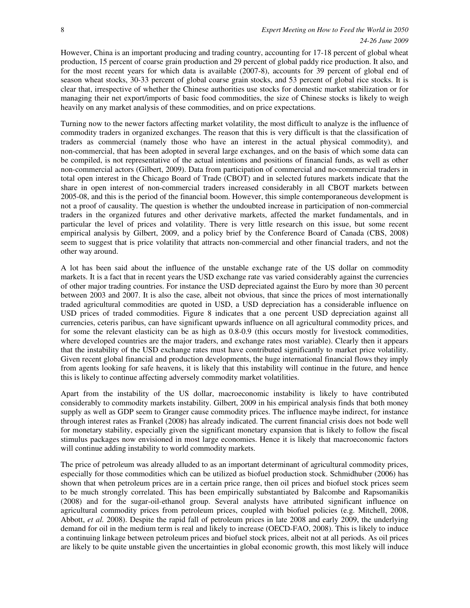However, China is an important producing and trading country, accounting for 17-18 percent of global wheat production, 15 percent of coarse grain production and 29 percent of global paddy rice production. It also, and for the most recent years for which data is available (2007-8), accounts for 39 percent of global end of season wheat stocks, 30-33 percent of global coarse grain stocks, and 53 percent of global rice stocks. It is clear that, irrespective of whether the Chinese authorities use stocks for domestic market stabilization or for managing their net export/imports of basic food commodities, the size of Chinese stocks is likely to weigh heavily on any market analysis of these commodities, and on price expectations.

Turning now to the newer factors affecting market volatility, the most difficult to analyze is the influence of commodity traders in organized exchanges. The reason that this is very difficult is that the classification of traders as commercial (namely those who have an interest in the actual physical commodity), and non-commercial, that has been adopted in several large exchanges, and on the basis of which some data can be compiled, is not representative of the actual intentions and positions of financial funds, as well as other non-commercial actors (Gilbert, 2009). Data from participation of commercial and no-commercial traders in total open interest in the Chicago Board of Trade (CBOT) and in selected futures markets indicate that the share in open interest of non-commercial traders increased considerably in all CBOT markets between 2005-08, and this is the period of the financial boom. However, this simple contemporaneous development is not a proof of causality. The question is whether the undoubted increase in participation of non-commercial traders in the organized futures and other derivative markets, affected the market fundamentals, and in particular the level of prices and volatility. There is very little research on this issue, but some recent empirical analysis by Gilbert, 2009, and a policy brief by the Conference Board of Canada (CBS, 2008) seem to suggest that is price volatility that attracts non-commercial and other financial traders, and not the other way around.

A lot has been said about the influence of the unstable exchange rate of the US dollar on commodity markets. It is a fact that in recent years the USD exchange rate vas varied considerably against the currencies of other major trading countries. For instance the USD depreciated against the Euro by more than 30 percent between 2003 and 2007. It is also the case, albeit not obvious, that since the prices of most internationally traded agricultural commodities are quoted in USD, a USD depreciation has a considerable influence on USD prices of traded commodities. Figure 8 indicates that a one percent USD depreciation against all currencies, ceteris paribus, can have significant upwards influence on all agricultural commodity prices, and for some the relevant elasticity can be as high as 0.8-0.9 (this occurs mostly for livestock commodities, where developed countries are the major traders, and exchange rates most variable). Clearly then it appears that the instability of the USD exchange rates must have contributed significantly to market price volatility. Given recent global financial and production developments, the huge international financial flows they imply from agents looking for safe heavens, it is likely that this instability will continue in the future, and hence this is likely to continue affecting adversely commodity market volatilities.

Apart from the instability of the US dollar, macroeconomic instability is likely to have contributed considerably to commodity markets instability. Gilbert, 2009 in his empirical analysis finds that both money supply as well as GDP seem to Granger cause commodity prices. The influence maybe indirect, for instance through interest rates as Frankel (2008) has already indicated. The current financial crisis does not bode well for monetary stability, especially given the significant monetary expansion that is likely to follow the fiscal stimulus packages now envisioned in most large economies. Hence it is likely that macroeconomic factors will continue adding instability to world commodity markets.

The price of petroleum was already alluded to as an important determinant of agricultural commodity prices, especially for those commodities which can be utilized as biofuel production stock. Schmidhuber (2006) has shown that when petroleum prices are in a certain price range, then oil prices and biofuel stock prices seem to be much strongly correlated. This has been empirically substantiated by Balcombe and Rapsomanikis (2008) and for the sugar-oil-ethanol group. Several analysts have attributed significant influence on agricultural commodity prices from petroleum prices, coupled with biofuel policies (e.g. Mitchell, 2008, Abbott, *et al.* 2008). Despite the rapid fall of petroleum prices in late 2008 and early 2009, the underlying demand for oil in the medium term is real and likely to increase (OECD-FAO, 2008). This is likely to induce a continuing linkage between petroleum prices and biofuel stock prices, albeit not at all periods. As oil prices are likely to be quite unstable given the uncertainties in global economic growth, this most likely will induce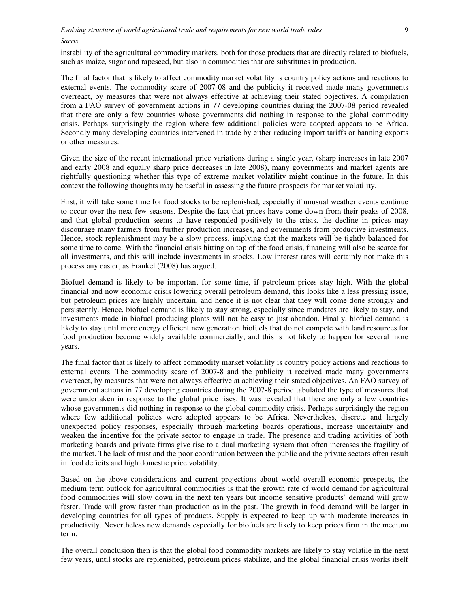instability of the agricultural commodity markets, both for those products that are directly related to biofuels, such as maize, sugar and rapeseed, but also in commodities that are substitutes in production.

The final factor that is likely to affect commodity market volatility is country policy actions and reactions to external events. The commodity scare of 2007-08 and the publicity it received made many governments overreact, by measures that were not always effective at achieving their stated objectives. A compilation from a FAO survey of government actions in 77 developing countries during the 2007-08 period revealed that there are only a few countries whose governments did nothing in response to the global commodity crisis. Perhaps surprisingly the region where few additional policies were adopted appears to be Africa. Secondly many developing countries intervened in trade by either reducing import tariffs or banning exports or other measures.

Given the size of the recent international price variations during a single year, (sharp increases in late 2007 and early 2008 and equally sharp price decreases in late 2008), many governments and market agents are rightfully questioning whether this type of extreme market volatility might continue in the future. In this context the following thoughts may be useful in assessing the future prospects for market volatility.

First, it will take some time for food stocks to be replenished, especially if unusual weather events continue to occur over the next few seasons. Despite the fact that prices have come down from their peaks of 2008, and that global production seems to have responded positively to the crisis, the decline in prices may discourage many farmers from further production increases, and governments from productive investments. Hence, stock replenishment may be a slow process, implying that the markets will be tightly balanced for some time to come. With the financial crisis hitting on top of the food crisis, financing will also be scarce for all investments, and this will include investments in stocks. Low interest rates will certainly not make this process any easier, as Frankel (2008) has argued.

Biofuel demand is likely to be important for some time, if petroleum prices stay high. With the global financial and now economic crisis lowering overall petroleum demand, this looks like a less pressing issue, but petroleum prices are highly uncertain, and hence it is not clear that they will come done strongly and persistently. Hence, biofuel demand is likely to stay strong, especially since mandates are likely to stay, and investments made in biofuel producing plants will not be easy to just abandon. Finally, biofuel demand is likely to stay until more energy efficient new generation biofuels that do not compete with land resources for food production become widely available commercially, and this is not likely to happen for several more years.

The final factor that is likely to affect commodity market volatility is country policy actions and reactions to external events. The commodity scare of 2007-8 and the publicity it received made many governments overreact, by measures that were not always effective at achieving their stated objectives. An FAO survey of government actions in 77 developing countries during the 2007-8 period tabulated the type of measures that were undertaken in response to the global price rises. It was revealed that there are only a few countries whose governments did nothing in response to the global commodity crisis. Perhaps surprisingly the region where few additional policies were adopted appears to be Africa. Nevertheless, discrete and largely unexpected policy responses, especially through marketing boards operations, increase uncertainty and weaken the incentive for the private sector to engage in trade. The presence and trading activities of both marketing boards and private firms give rise to a dual marketing system that often increases the fragility of the market. The lack of trust and the poor coordination between the public and the private sectors often result in food deficits and high domestic price volatility.

Based on the above considerations and current projections about world overall economic prospects, the medium term outlook for agricultural commodities is that the growth rate of world demand for agricultural food commodities will slow down in the next ten years but income sensitive products' demand will grow faster. Trade will grow faster than production as in the past. The growth in food demand will be larger in developing countries for all types of products. Supply is expected to keep up with moderate increases in productivity. Nevertheless new demands especially for biofuels are likely to keep prices firm in the medium term.

The overall conclusion then is that the global food commodity markets are likely to stay volatile in the next few years, until stocks are replenished, petroleum prices stabilize, and the global financial crisis works itself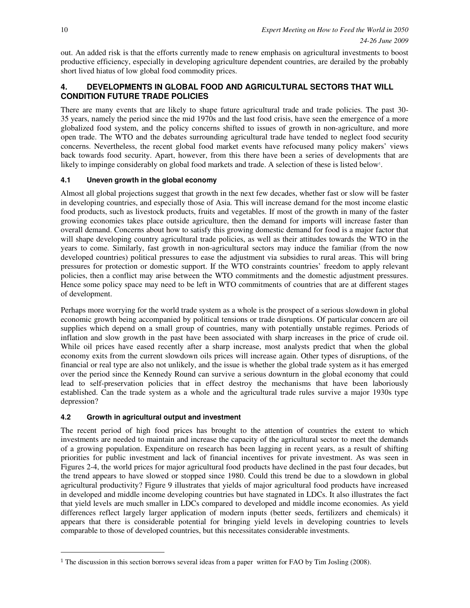out. An added risk is that the efforts currently made to renew emphasis on agricultural investments to boost productive efficiency, especially in developing agriculture dependent countries, are derailed by the probably short lived hiatus of low global food commodity prices.

### **4. DEVELOPMENTS IN GLOBAL FOOD AND AGRICULTURAL SECTORS THAT WILL CONDITION FUTURE TRADE POLICIES**

There are many events that are likely to shape future agricultural trade and trade policies. The past 30- 35 years, namely the period since the mid 1970s and the last food crisis, have seen the emergence of a more globalized food system, and the policy concerns shifted to issues of growth in non-agriculture, and more open trade. The WTO and the debates surrounding agricultural trade have tended to neglect food security concerns. Nevertheless, the recent global food market events have refocused many policy makers' views back towards food security. Apart, however, from this there have been a series of developments that are likely to impinge considerably on global food markets and trade. A selection of these is listed below<sup>1</sup>.

#### **4.1 Uneven growth in the global economy**

Almost all global projections suggest that growth in the next few decades, whether fast or slow will be faster in developing countries, and especially those of Asia. This will increase demand for the most income elastic food products, such as livestock products, fruits and vegetables. If most of the growth in many of the faster growing economies takes place outside agriculture, then the demand for imports will increase faster than overall demand. Concerns about how to satisfy this growing domestic demand for food is a major factor that will shape developing country agricultural trade policies, as well as their attitudes towards the WTO in the years to come. Similarly, fast growth in non-agricultural sectors may induce the familiar (from the now developed countries) political pressures to ease the adjustment via subsidies to rural areas. This will bring pressures for protection or domestic support. If the WTO constraints countries' freedom to apply relevant policies, then a conflict may arise between the WTO commitments and the domestic adjustment pressures. Hence some policy space may need to be left in WTO commitments of countries that are at different stages of development.

Perhaps more worrying for the world trade system as a whole is the prospect of a serious slowdown in global economic growth being accompanied by political tensions or trade disruptions. Of particular concern are oil supplies which depend on a small group of countries, many with potentially unstable regimes. Periods of inflation and slow growth in the past have been associated with sharp increases in the price of crude oil. While oil prices have eased recently after a sharp increase, most analysts predict that when the global economy exits from the current slowdown oils prices will increase again. Other types of disruptions, of the financial or real type are also not unlikely, and the issue is whether the global trade system as it has emerged over the period since the Kennedy Round can survive a serious downturn in the global economy that could lead to self-preservation policies that in effect destroy the mechanisms that have been laboriously established. Can the trade system as a whole and the agricultural trade rules survive a major 1930s type depression?

#### **4.2 Growth in agricultural output and investment**

The recent period of high food prices has brought to the attention of countries the extent to which investments are needed to maintain and increase the capacity of the agricultural sector to meet the demands of a growing population. Expenditure on research has been lagging in recent years, as a result of shifting priorities for public investment and lack of financial incentives for private investment. As was seen in Figures 2-4, the world prices for major agricultural food products have declined in the past four decades, but the trend appears to have slowed or stopped since 1980. Could this trend be due to a slowdown in global agricultural productivity? Figure 9 illustrates that yields of major agricultural food products have increased in developed and middle income developing countries but have stagnated in LDCs. It also illustrates the fact that yield levels are much smaller in LDCs compared to developed and middle income economies. As yield differences reflect largely larger application of modern inputs (better seeds, fertilizers and chemicals) it appears that there is considerable potential for bringing yield levels in developing countries to levels comparable to those of developed countries, but this necessitates considerable investments.

j

<sup>&</sup>lt;sup>1</sup> The discussion in this section borrows several ideas from a paper written for FAO by Tim Josling (2008).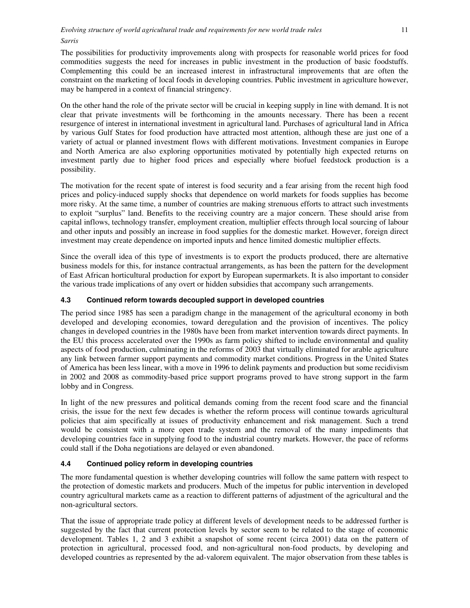The possibilities for productivity improvements along with prospects for reasonable world prices for food commodities suggests the need for increases in public investment in the production of basic foodstuffs. Complementing this could be an increased interest in infrastructural improvements that are often the constraint on the marketing of local foods in developing countries. Public investment in agriculture however, may be hampered in a context of financial stringency.

On the other hand the role of the private sector will be crucial in keeping supply in line with demand. It is not clear that private investments will be forthcoming in the amounts necessary. There has been a recent resurgence of interest in international investment in agricultural land. Purchases of agricultural land in Africa by various Gulf States for food production have attracted most attention, although these are just one of a variety of actual or planned investment flows with different motivations. Investment companies in Europe and North America are also exploring opportunities motivated by potentially high expected returns on investment partly due to higher food prices and especially where biofuel feedstock production is a possibility.

The motivation for the recent spate of interest is food security and a fear arising from the recent high food prices and policy-induced supply shocks that dependence on world markets for foods supplies has become more risky. At the same time, a number of countries are making strenuous efforts to attract such investments to exploit "surplus" land. Benefits to the receiving country are a major concern. These should arise from capital inflows, technology transfer, employment creation, multiplier effects through local sourcing of labour and other inputs and possibly an increase in food supplies for the domestic market. However, foreign direct investment may create dependence on imported inputs and hence limited domestic multiplier effects.

Since the overall idea of this type of investments is to export the products produced, there are alternative business models for this, for instance contractual arrangements, as has been the pattern for the development of East African horticultural production for export by European supermarkets. It is also important to consider the various trade implications of any overt or hidden subsidies that accompany such arrangements.

#### **4.3 Continued reform towards decoupled support in developed countries**

The period since 1985 has seen a paradigm change in the management of the agricultural economy in both developed and developing economies, toward deregulation and the provision of incentives. The policy changes in developed countries in the 1980s have been from market intervention towards direct payments. In the EU this process accelerated over the 1990s as farm policy shifted to include environmental and quality aspects of food production, culminating in the reforms of 2003 that virtually eliminated for arable agriculture any link between farmer support payments and commodity market conditions. Progress in the United States of America has been less linear, with a move in 1996 to delink payments and production but some recidivism in 2002 and 2008 as commodity-based price support programs proved to have strong support in the farm lobby and in Congress.

In light of the new pressures and political demands coming from the recent food scare and the financial crisis, the issue for the next few decades is whether the reform process will continue towards agricultural policies that aim specifically at issues of productivity enhancement and risk management. Such a trend would be consistent with a more open trade system and the removal of the many impediments that developing countries face in supplying food to the industrial country markets. However, the pace of reforms could stall if the Doha negotiations are delayed or even abandoned.

#### **4.4 Continued policy reform in developing countries**

The more fundamental question is whether developing countries will follow the same pattern with respect to the protection of domestic markets and producers. Much of the impetus for public intervention in developed country agricultural markets came as a reaction to different patterns of adjustment of the agricultural and the non-agricultural sectors.

That the issue of appropriate trade policy at different levels of development needs to be addressed further is suggested by the fact that current protection levels by sector seem to be related to the stage of economic development. Tables 1, 2 and 3 exhibit a snapshot of some recent (circa 2001) data on the pattern of protection in agricultural, processed food, and non-agricultural non-food products, by developing and developed countries as represented by the ad-valorem equivalent. The major observation from these tables is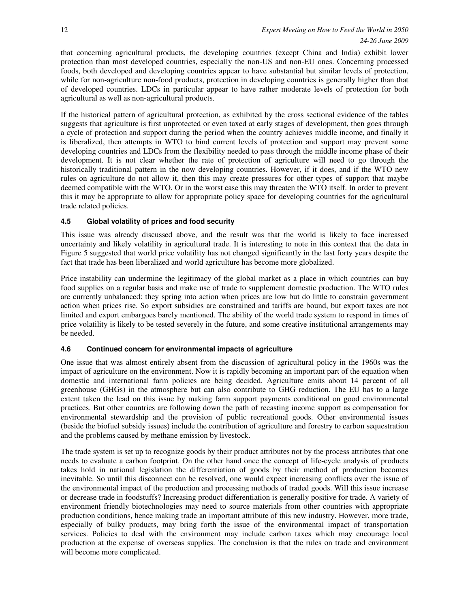that concerning agricultural products, the developing countries (except China and India) exhibit lower protection than most developed countries, especially the non-US and non-EU ones. Concerning processed foods, both developed and developing countries appear to have substantial but similar levels of protection, while for non-agriculture non-food products, protection in developing countries is generally higher than that of developed countries. LDCs in particular appear to have rather moderate levels of protection for both agricultural as well as non-agricultural products.

If the historical pattern of agricultural protection, as exhibited by the cross sectional evidence of the tables suggests that agriculture is first unprotected or even taxed at early stages of development, then goes through a cycle of protection and support during the period when the country achieves middle income, and finally it is liberalized, then attempts in WTO to bind current levels of protection and support may prevent some developing countries and LDCs from the flexibility needed to pass through the middle income phase of their development. It is not clear whether the rate of protection of agriculture will need to go through the historically traditional pattern in the now developing countries. However, if it does, and if the WTO new rules on agriculture do not allow it, then this may create pressures for other types of support that maybe deemed compatible with the WTO. Or in the worst case this may threaten the WTO itself. In order to prevent this it may be appropriate to allow for appropriate policy space for developing countries for the agricultural trade related policies.

#### **4.5 Global volatility of prices and food security**

This issue was already discussed above, and the result was that the world is likely to face increased uncertainty and likely volatility in agricultural trade. It is interesting to note in this context that the data in Figure 5 suggested that world price volatility has not changed significantly in the last forty years despite the fact that trade has been liberalized and world agriculture has become more globalized.

Price instability can undermine the legitimacy of the global market as a place in which countries can buy food supplies on a regular basis and make use of trade to supplement domestic production. The WTO rules are currently unbalanced: they spring into action when prices are low but do little to constrain government action when prices rise. So export subsidies are constrained and tariffs are bound, but export taxes are not limited and export embargoes barely mentioned. The ability of the world trade system to respond in times of price volatility is likely to be tested severely in the future, and some creative institutional arrangements may be needed.

#### **4.6 Continued concern for environmental impacts of agriculture**

One issue that was almost entirely absent from the discussion of agricultural policy in the 1960s was the impact of agriculture on the environment. Now it is rapidly becoming an important part of the equation when domestic and international farm policies are being decided. Agriculture emits about 14 percent of all greenhouse (GHGs) in the atmosphere but can also contribute to GHG reduction. The EU has to a large extent taken the lead on this issue by making farm support payments conditional on good environmental practices. But other countries are following down the path of recasting income support as compensation for environmental stewardship and the provision of public recreational goods. Other environmental issues (beside the biofuel subsidy issues) include the contribution of agriculture and forestry to carbon sequestration and the problems caused by methane emission by livestock.

The trade system is set up to recognize goods by their product attributes not by the process attributes that one needs to evaluate a carbon footprint. On the other hand once the concept of life-cycle analysis of products takes hold in national legislation the differentiation of goods by their method of production becomes inevitable. So until this disconnect can be resolved, one would expect increasing conflicts over the issue of the environmental impact of the production and processing methods of traded goods. Will this issue increase or decrease trade in foodstuffs? Increasing product differentiation is generally positive for trade. A variety of environment friendly biotechnologies may need to source materials from other countries with appropriate production conditions, hence making trade an important attribute of this new industry. However, more trade, especially of bulky products, may bring forth the issue of the environmental impact of transportation services. Policies to deal with the environment may include carbon taxes which may encourage local production at the expense of overseas supplies. The conclusion is that the rules on trade and environment will become more complicated.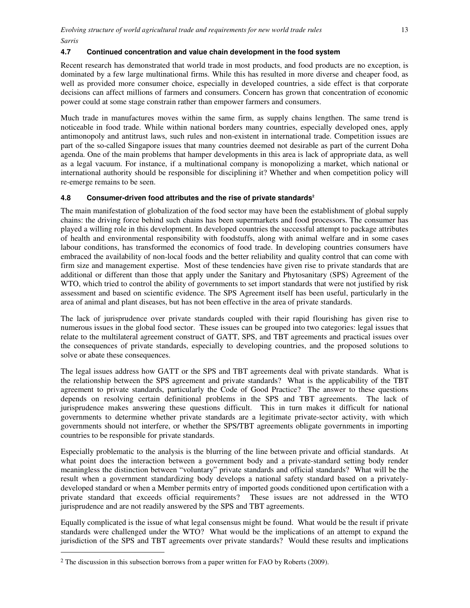#### **4.7 Continued concentration and value chain development in the food system**

Recent research has demonstrated that world trade in most products, and food products are no exception, is dominated by a few large multinational firms. While this has resulted in more diverse and cheaper food, as well as provided more consumer choice, especially in developed countries, a side effect is that corporate decisions can affect millions of farmers and consumers. Concern has grown that concentration of economic power could at some stage constrain rather than empower farmers and consumers.

Much trade in manufactures moves within the same firm, as supply chains lengthen. The same trend is noticeable in food trade. While within national borders many countries, especially developed ones, apply antimonopoly and antitrust laws, such rules and non-existent in international trade. Competition issues are part of the so-called Singapore issues that many countries deemed not desirable as part of the current Doha agenda. One of the main problems that hamper developments in this area is lack of appropriate data, as well as a legal vacuum. For instance, if a multinational company is monopolizing a market, which national or international authority should be responsible for disciplining it? Whether and when competition policy will re-emerge remains to be seen.

#### **4.8 Consumer-driven food attributes and the rise of private standards<sup>2</sup>**

The main manifestation of globalization of the food sector may have been the establishment of global supply chains: the driving force behind such chains has been supermarkets and food processors. The consumer has played a willing role in this development. In developed countries the successful attempt to package attributes of health and environmental responsibility with foodstuffs, along with animal welfare and in some cases labour conditions, has transformed the economics of food trade. In developing countries consumers have embraced the availability of non-local foods and the better reliability and quality control that can come with firm size and management expertise. Most of these tendencies have given rise to private standards that are additional or different than those that apply under the Sanitary and Phytosanitary (SPS) Agreement of the WTO, which tried to control the ability of governments to set import standards that were not justified by risk assessment and based on scientific evidence. The SPS Agreement itself has been useful, particularly in the area of animal and plant diseases, but has not been effective in the area of private standards.

The lack of jurisprudence over private standards coupled with their rapid flourishing has given rise to numerous issues in the global food sector. These issues can be grouped into two categories: legal issues that relate to the multilateral agreement construct of GATT, SPS, and TBT agreements and practical issues over the consequences of private standards, especially to developing countries, and the proposed solutions to solve or abate these consequences.

The legal issues address how GATT or the SPS and TBT agreements deal with private standards. What is the relationship between the SPS agreement and private standards? What is the applicability of the TBT agreement to private standards, particularly the Code of Good Practice? The answer to these questions depends on resolving certain definitional problems in the SPS and TBT agreements. The lack of jurisprudence makes answering these questions difficult. This in turn makes it difficult for national governments to determine whether private standards are a legitimate private-sector activity, with which governments should not interfere, or whether the SPS/TBT agreements obligate governments in importing countries to be responsible for private standards.

Especially problematic to the analysis is the blurring of the line between private and official standards. At what point does the interaction between a government body and a private-standard setting body render meaningless the distinction between "voluntary" private standards and official standards? What will be the result when a government standardizing body develops a national safety standard based on a privatelydeveloped standard or when a Member permits entry of imported goods conditioned upon certification with a private standard that exceeds official requirements? These issues are not addressed in the WTO jurisprudence and are not readily answered by the SPS and TBT agreements.

Equally complicated is the issue of what legal consensus might be found. What would be the result if private standards were challenged under the WTO? What would be the implications of an attempt to expand the jurisdiction of the SPS and TBT agreements over private standards? Would these results and implications

j

<sup>2</sup> The discussion in this subsection borrows from a paper written for FAO by Roberts (2009).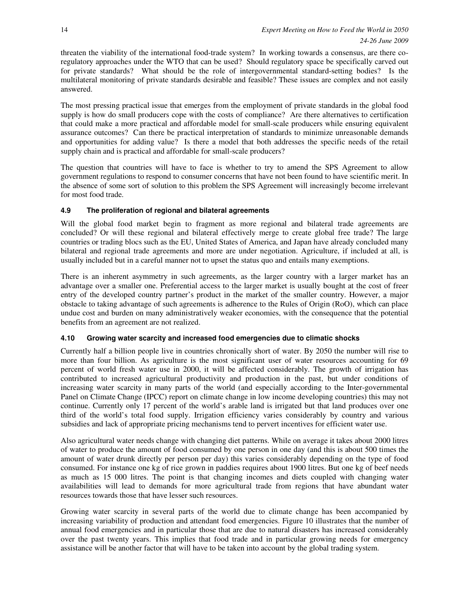threaten the viability of the international food-trade system? In working towards a consensus, are there coregulatory approaches under the WTO that can be used? Should regulatory space be specifically carved out for private standards? What should be the role of intergovernmental standard-setting bodies? Is the multilateral monitoring of private standards desirable and feasible? These issues are complex and not easily answered.

The most pressing practical issue that emerges from the employment of private standards in the global food supply is how do small producers cope with the costs of compliance? Are there alternatives to certification that could make a more practical and affordable model for small-scale producers while ensuring equivalent assurance outcomes? Can there be practical interpretation of standards to minimize unreasonable demands and opportunities for adding value? Is there a model that both addresses the specific needs of the retail supply chain and is practical and affordable for small-scale producers?

The question that countries will have to face is whether to try to amend the SPS Agreement to allow government regulations to respond to consumer concerns that have not been found to have scientific merit. In the absence of some sort of solution to this problem the SPS Agreement will increasingly become irrelevant for most food trade.

#### **4.9 The proliferation of regional and bilateral agreements**

Will the global food market begin to fragment as more regional and bilateral trade agreements are concluded? Or will these regional and bilateral effectively merge to create global free trade? The large countries or trading blocs such as the EU, United States of America, and Japan have already concluded many bilateral and regional trade agreements and more are under negotiation. Agriculture, if included at all, is usually included but in a careful manner not to upset the status quo and entails many exemptions.

There is an inherent asymmetry in such agreements, as the larger country with a larger market has an advantage over a smaller one. Preferential access to the larger market is usually bought at the cost of freer entry of the developed country partner's product in the market of the smaller country. However, a major obstacle to taking advantage of such agreements is adherence to the Rules of Origin (RoO), which can place undue cost and burden on many administratively weaker economies, with the consequence that the potential benefits from an agreement are not realized.

#### **4.10 Growing water scarcity and increased food emergencies due to climatic shocks**

Currently half a billion people live in countries chronically short of water. By 2050 the number will rise to more than four billion. As agriculture is the most significant user of water resources accounting for 69 percent of world fresh water use in 2000, it will be affected considerably. The growth of irrigation has contributed to increased agricultural productivity and production in the past, but under conditions of increasing water scarcity in many parts of the world (and especially according to the Inter-governmental Panel on Climate Change (IPCC) report on climate change in low income developing countries) this may not continue. Currently only 17 percent of the world's arable land is irrigated but that land produces over one third of the world's total food supply. Irrigation efficiency varies considerably by country and various subsidies and lack of appropriate pricing mechanisms tend to pervert incentives for efficient water use.

Also agricultural water needs change with changing diet patterns. While on average it takes about 2000 litres of water to produce the amount of food consumed by one person in one day (and this is about 500 times the amount of water drunk directly per person per day) this varies considerably depending on the type of food consumed. For instance one kg of rice grown in paddies requires about 1900 litres. But one kg of beef needs as much as 15 000 litres. The point is that changing incomes and diets coupled with changing water availabilities will lead to demands for more agricultural trade from regions that have abundant water resources towards those that have lesser such resources.

Growing water scarcity in several parts of the world due to climate change has been accompanied by increasing variability of production and attendant food emergencies. Figure 10 illustrates that the number of annual food emergencies and in particular those that are due to natural disasters has increased considerably over the past twenty years. This implies that food trade and in particular growing needs for emergency assistance will be another factor that will have to be taken into account by the global trading system.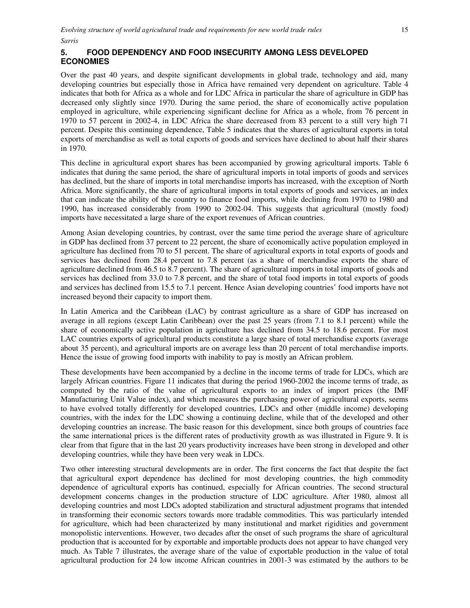### **5. FOOD DEPENDENCY AND FOOD INSECURITY AMONG LESS DEVELOPED ECONOMIES**

Over the past 40 years, and despite significant developments in global trade, technology and aid, many developing countries but especially those in Africa have remained very dependent on agriculture. Table 4 indicates that both for Africa as a whole and for LDC Africa in particular the share of agriculture in GDP has decreased only slightly since 1970. During the same period, the share of economically active population employed in agriculture, while experiencing significant decline for Africa as a whole, from 76 percent in 1970 to 57 percent in 2002-4, in LDC Africa the share decreased from 83 percent to a still very high 71 percent. Despite this continuing dependence, Table 5 indicates that the shares of agricultural exports in total exports of merchandise as well as total exports of goods and services have declined to about half their shares in 1970.

This decline in agricultural export shares has been accompanied by growing agricultural imports. Table 6 indicates that during the same period, the share of agricultural imports in total imports of goods and services has declined, but the share of imports in total merchandise imports has increased, with the exception of North Africa. More significantly, the share of agricultural imports in total exports of goods and services, an index that can indicate the ability of the country to finance food imports, while declining from 1970 to 1980 and 1990, has increased considerably from 1990 to 2002-04. This suggests that agricultural (mostly food) imports have necessitated a large share of the export revenues of African countries.

Among Asian developing countries, by contrast, over the same time period the average share of agriculture in GDP has declined from 37 percent to 22 percent, the share of economically active population employed in agriculture has declined from 70 to 51 percent. The share of agricultural exports in total exports of goods and services has declined from 28.4 percent to 7.8 percent (as a share of merchandise exports the share of agriculture declined from 46.5 to 8.7 percent). The share of agricultural imports in total imports of goods and services has declined from 33.0 to 7.8 percent, and the share of total food imports in total exports of goods and services has declined from 15.5 to 7.1 percent. Hence Asian developing countries' food imports have not increased beyond their capacity to import them.

In Latin America and the Caribbean (LAC) by contrast agriculture as a share of GDP has increased on average in all regions (except Latin Caribbean) over the past 25 years (from 7.1 to 8.1 percent) while the share of economically active population in agriculture has declined from 34.5 to 18.6 percent. For most LAC countries exports of agricultural products constitute a large share of total merchandise exports (average about 35 percent), and agricultural imports are on average less than 20 percent of total merchandise imports. Hence the issue of growing food imports with inability to pay is mostly an African problem.

These developments have been accompanied by a decline in the income terms of trade for LDCs, which are largely African countries. Figure 11 indicates that during the period 1960-2002 the income terms of trade, as computed by the ratio of the value of agricultural exports to an index of import prices (the IMF Manufacturing Unit Value index), and which measures the purchasing power of agricultural exports, seems to have evolved totally differently for developed countries, LDCs and other (middle income) developing countries, with the index for the LDC showing a continuing decline, while that of the developed and other developing countries an increase. The basic reason for this development, since both groups of countries face the same international prices is the different rates of productivity growth as was illustrated in Figure 9. It is clear from that figure that in the last 20 years productivity increases have been strong in developed and other developing countries, while they have been very weak in LDCs.

Two other interesting structural developments are in order. The first concerns the fact that despite the fact that agricultural export dependence has declined for most developing countries, the high commodity dependence of agricultural exports has continued, especially for African countries. The second structural development concerns changes in the production structure of LDC agriculture. After 1980, almost all developing countries and most LDCs adopted stabilization and structural adjustment programs that intended in transforming their economic sectors towards more tradable commodities. This was particularly intended for agriculture, which had been characterized by many institutional and market rigidities and government monopolistic interventions. However, two decades after the onset of such programs the share of agricultural production that is accounted for by exportable and importable products does not appear to have changed very much. As Table 7 illustrates, the average share of the value of exportable production in the value of total agricultural production for 24 low income African countries in 2001-3 was estimated by the authors to be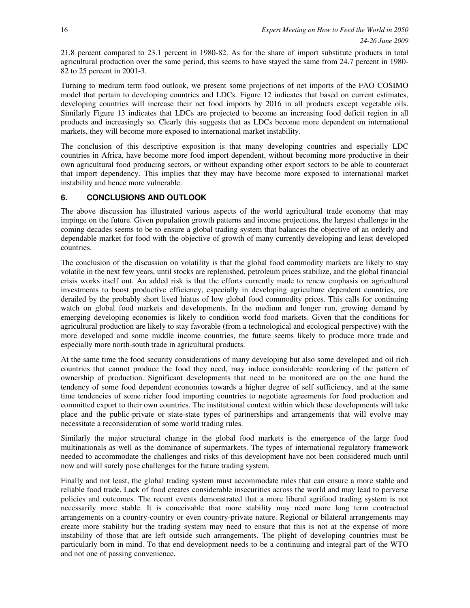21.8 percent compared to 23.1 percent in 1980-82. As for the share of import substitute products in total agricultural production over the same period, this seems to have stayed the same from 24.7 percent in 1980- 82 to 25 percent in 2001-3.

Turning to medium term food outlook, we present some projections of net imports of the FAO COSIMO model that pertain to developing countries and LDCs. Figure 12 indicates that based on current estimates, developing countries will increase their net food imports by 2016 in all products except vegetable oils. Similarly Figure 13 indicates that LDCs are projected to become an increasing food deficit region in all products and increasingly so. Clearly this suggests that as LDCs become more dependent on international markets, they will become more exposed to international market instability.

The conclusion of this descriptive exposition is that many developing countries and especially LDC countries in Africa, have become more food import dependent, without becoming more productive in their own agricultural food producing sectors, or without expanding other export sectors to be able to counteract that import dependency. This implies that they may have become more exposed to international market instability and hence more vulnerable.

### **6. CONCLUSIONS AND OUTLOOK**

The above discussion has illustrated various aspects of the world agricultural trade economy that may impinge on the future. Given population growth patterns and income projections, the largest challenge in the coming decades seems to be to ensure a global trading system that balances the objective of an orderly and dependable market for food with the objective of growth of many currently developing and least developed countries.

The conclusion of the discussion on volatility is that the global food commodity markets are likely to stay volatile in the next few years, until stocks are replenished, petroleum prices stabilize, and the global financial crisis works itself out. An added risk is that the efforts currently made to renew emphasis on agricultural investments to boost productive efficiency, especially in developing agriculture dependent countries, are derailed by the probably short lived hiatus of low global food commodity prices. This calls for continuing watch on global food markets and developments. In the medium and longer run, growing demand by emerging developing economies is likely to condition world food markets. Given that the conditions for agricultural production are likely to stay favorable (from a technological and ecological perspective) with the more developed and some middle income countries, the future seems likely to produce more trade and especially more north-south trade in agricultural products.

At the same time the food security considerations of many developing but also some developed and oil rich countries that cannot produce the food they need, may induce considerable reordering of the pattern of ownership of production. Significant developments that need to be monitored are on the one hand the tendency of some food dependent economies towards a higher degree of self sufficiency, and at the same time tendencies of some richer food importing countries to negotiate agreements for food production and committed export to their own countries. The institutional context within which these developments will take place and the public-private or state-state types of partnerships and arrangements that will evolve may necessitate a reconsideration of some world trading rules.

Similarly the major structural change in the global food markets is the emergence of the large food multinationals as well as the dominance of supermarkets. The types of international regulatory framework needed to accommodate the challenges and risks of this development have not been considered much until now and will surely pose challenges for the future trading system.

Finally and not least, the global trading system must accommodate rules that can ensure a more stable and reliable food trade. Lack of food creates considerable insecurities across the world and may lead to perverse policies and outcomes. The recent events demonstrated that a more liberal agrifood trading system is not necessarily more stable. It is conceivable that more stability may need more long term contractual arrangements on a country-country or even country-private nature. Regional or bilateral arrangements may create more stability but the trading system may need to ensure that this is not at the expense of more instability of those that are left outside such arrangements. The plight of developing countries must be particularly born in mind. To that end development needs to be a continuing and integral part of the WTO and not one of passing convenience.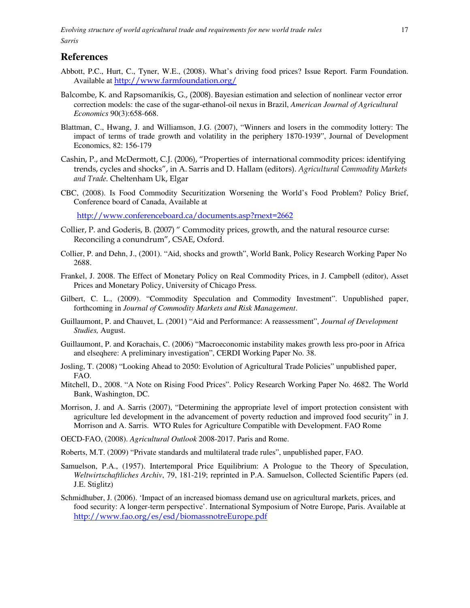## **References**

- Abbott, P.C., Hurt, C., Tyner, W.E., (2008). What's driving food prices? Issue Report. Farm Foundation. Available at http://www.farmfoundation.org/
- Balcombe, K. and Rapsomanikis, G., (2008). Bayesian estimation and selection of nonlinear vector error correction models: the case of the sugar-ethanol-oil nexus in Brazil, *American Journal of Agricultural Economics* 90(3):658-668.
- Blattman, C., Hwang, J. and Williamson, J.G. (2007), "Winners and losers in the commodity lottery: The impact of terms of trade growth and volatility in the periphery 1870-1939", Journal of Development Economics, 82: 156-179
- Cashin, P., and McDermott, C.J. (2006), "Properties of international commodity prices: identifying trends, cycles and shocks", in A. Sarris and D. Hallam (editors). Agricultural Commodity Markets and Trade. Cheltenham Uk, Elgar
- CBC, (2008). Is Food Commodity Securitization Worsening the World's Food Problem? Policy Brief, Conference board of Canada, Available at

http://www.conferenceboard.ca/documents.asp?rnext=2662

- Collier, P. and Goderis, B. (2007) " Commodity prices, growth, and the natural resource curse: Reconciling a conundrum", CSAE, Oxford.
- Collier, P. and Dehn, J., (2001). "Aid, shocks and growth", World Bank, Policy Research Working Paper No 2688.
- Frankel, J. 2008. The Effect of Monetary Policy on Real Commodity Prices, in J. Campbell (editor), Asset Prices and Monetary Policy, University of Chicago Press.
- Gilbert, C. L., (2009). "Commodity Speculation and Commodity Investment". Unpublished paper, forthcoming in *Journal of Commodity Markets and Risk Management*.
- Guillaumont, P. and Chauvet, L. (2001) "Aid and Performance: A reassessment", *Journal of Development Studies,* August.
- Guillaumont, P. and Korachais, C. (2006) "Macroeconomic instability makes growth less pro-poor in Africa and elseqhere: A preliminary investigation", CERDI Working Paper No. 38.
- Josling, T. (2008) "Looking Ahead to 2050: Evolution of Agricultural Trade Policies" unpublished paper, FAO.
- Mitchell, D., 2008. "A Note on Rising Food Prices". Policy Research Working Paper No. 4682. The World Bank, Washington, DC.
- Morrison, J. and A. Sarris (2007), "Determining the appropriate level of import protection consistent with agriculture led development in the advancement of poverty reduction and improved food security" in J. Morrison and A. Sarris. WTO Rules for Agriculture Compatible with Development. FAO Rome
- OECD-FAO, (2008). *Agricultural Outlook* 2008-2017. Paris and Rome.
- Roberts, M.T. (2009) "Private standards and multilateral trade rules", unpublished paper, FAO.
- Samuelson, P.A., (1957). Intertemporal Price Equilibrium: A Prologue to the Theory of Speculation, *Weltwirtschaftliches Archiv*, 79, 181-219; reprinted in P.A. Samuelson, Collected Scientific Papers (ed. J.E. Stiglitz)
- Schmidhuber, J. (2006). 'Impact of an increased biomass demand use on agricultural markets, prices, and food security: A longer-term perspective'. International Symposium of Notre Europe, Paris. Available at http://www.fao.org/es/esd/biomassnotreEurope.pdf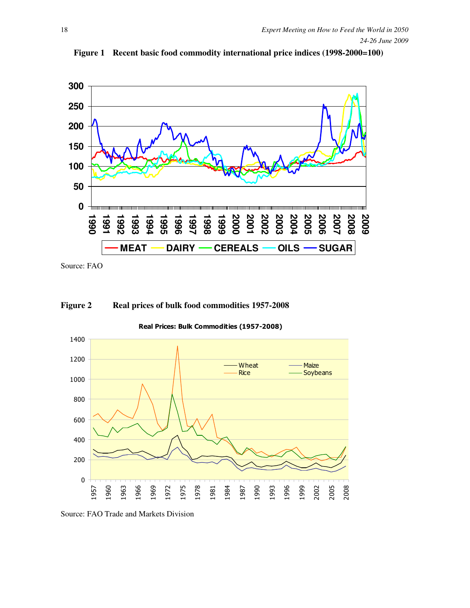

**Figure 1 Recent basic food commodity international price indices (1998-2000=100)** 

Source: FAO

#### **Figure 2 Real prices of bulk food commodities 1957-2008**

Real Prices: Bulk Commodities (1957-2008)



Source: FAO Trade and Markets Division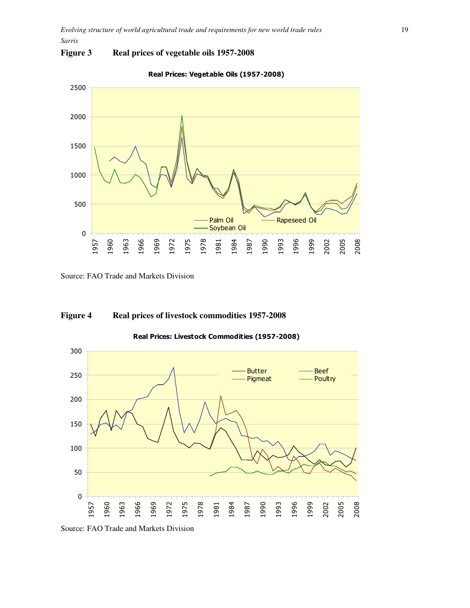### **Figure 3 Real prices of vegetable oils 1957-2008**



Real Prices: Vegetable Oils (1957-2008)

### **Figure 4 Real prices of livestock commodities 1957-2008**

Source: FAO Trade and Markets Division Butter — Beef<br>Pigmeat — Poultry Pigmeat

Real Prices: Livestock Commodities (1957-2008)

Source: FAO Trade and Markets Division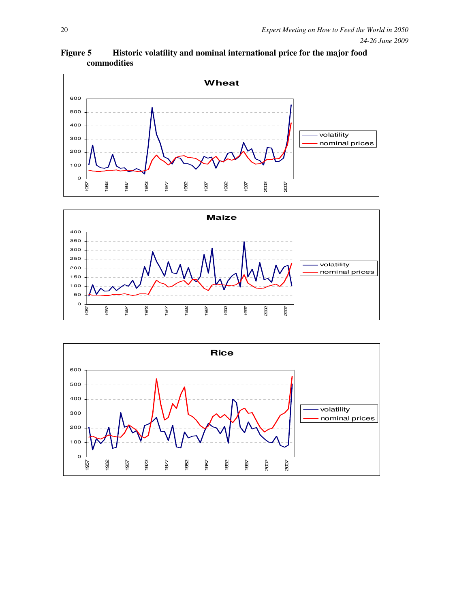**Figure 5 Historic volatility and nominal international price for the major food commodities** 





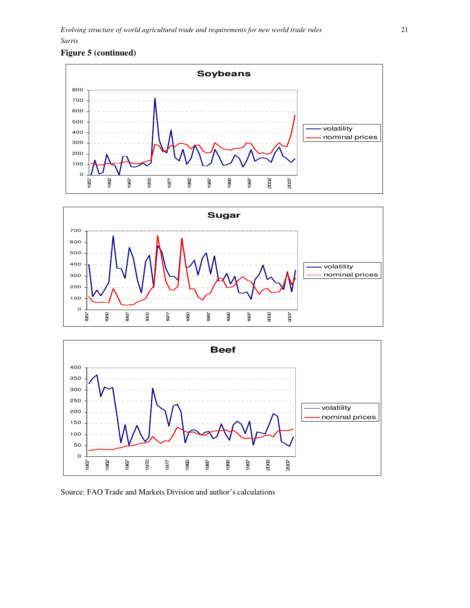### **Figure 5 (continued)**







Source: FAO Trade and Markets Division and author's calculations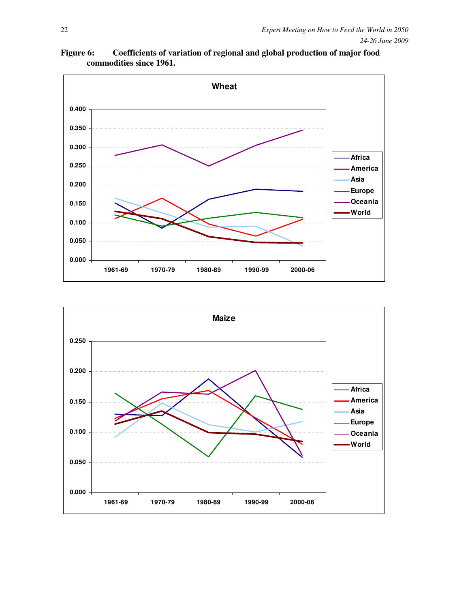**Figure 6: Coefficients of variation of regional and global production of major food commodities since 1961.** 



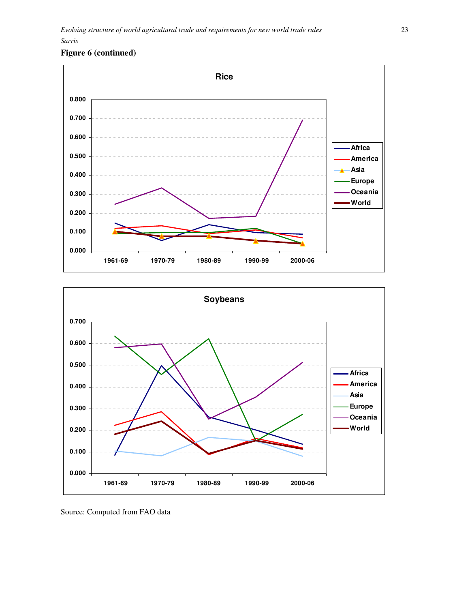### **Figure 6 (continued)**





Source: Computed from FAO data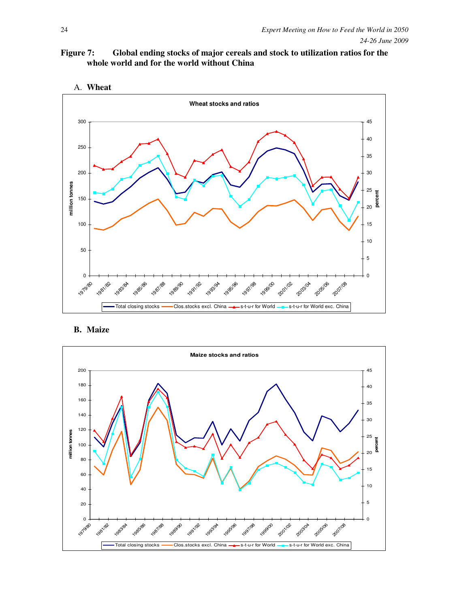





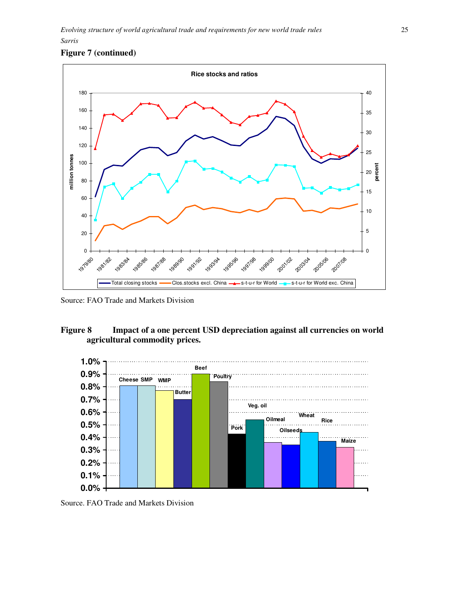### **Figure 7 (continued)**



Source: FAO Trade and Markets Division

### **Figure 8 Impact of a one percent USD depreciation against all currencies on world agricultural commodity prices.**



Source. FAO Trade and Markets Division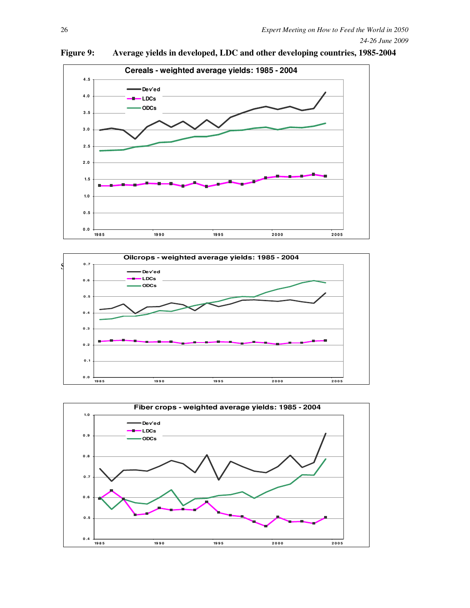

**Figure 9: Average yields in developed, LDC and other developing countries, 1985-2004** 



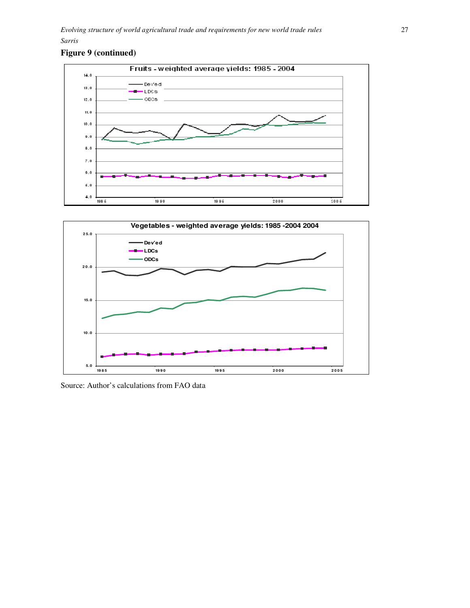### **Figure 9 (continued)**





Source: Author's calculations from FAO data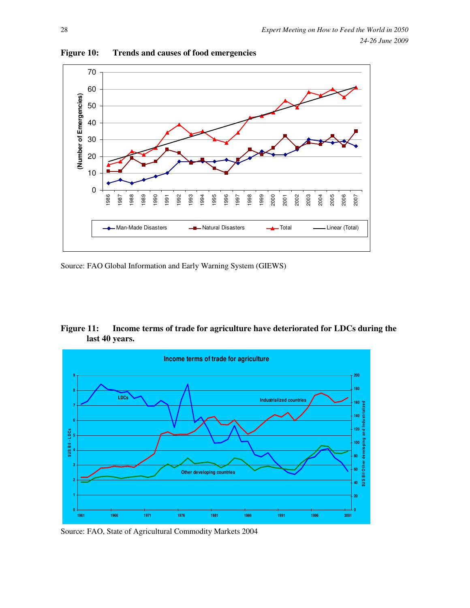

**Figure 10: Trends and causes of food emergencies** 

Source: FAO Global Information and Early Warning System (GIEWS)

| <b>Figure 11:</b> | Income terms of trade for agriculture have deteriorated for LDCs during the |
|-------------------|-----------------------------------------------------------------------------|
|                   | last 40 years.                                                              |



Source: FAO, State of Agricultural Commodity Markets 2004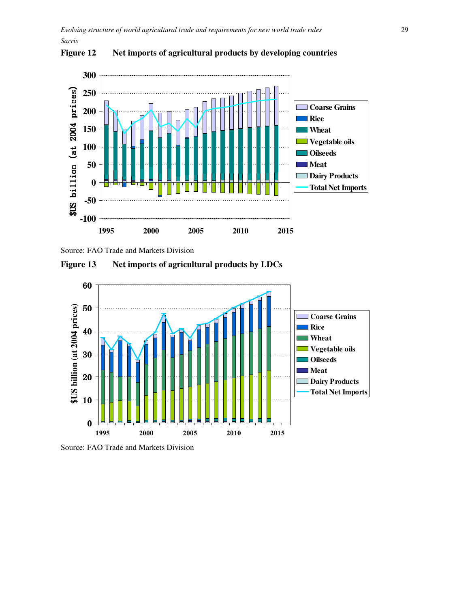

**Figure 12 Net imports of agricultural products by developing countries** 



**Figure 13 Net imports of agricultural products by LDCs** 



Source: FAO Trade and Markets Division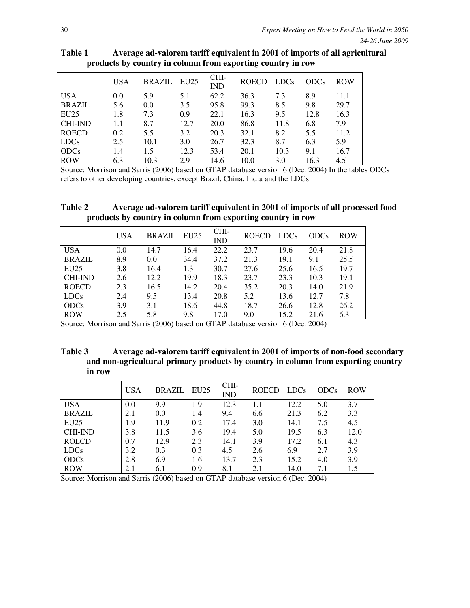|                | <b>USA</b> | <b>BRAZIL EU25</b> |      | CHI-<br><b>IND</b> | <b>ROECD</b> | <b>LDCs</b> | <b>ODCs</b> | <b>ROW</b> |
|----------------|------------|--------------------|------|--------------------|--------------|-------------|-------------|------------|
| <b>USA</b>     | 0.0        | 5.9                | 5.1  | 62.2               | 36.3         | 7.3         | 8.9         | 11.1       |
| <b>BRAZIL</b>  | 5.6        | 0.0                | 3.5  | 95.8               | 99.3         | 8.5         | 9.8         | 29.7       |
| EU25           | 1.8        | 7.3                | 0.9  | 22.1               | 16.3         | 9.5         | 12.8        | 16.3       |
| <b>CHI-IND</b> | 1.1        | 8.7                | 12.7 | 20.0               | 86.8         | 11.8        | 6.8         | 7.9        |
| <b>ROECD</b>   | 0.2        | 5.5                | 3.2  | 20.3               | 32.1         | 8.2         | 5.5         | 11.2       |
| <b>LDCs</b>    | 2.5        | 10.1               | 3.0  | 26.7               | 32.3         | 8.7         | 6.3         | 5.9        |
| <b>ODCs</b>    | 1.4        | 1.5                | 12.3 | 53.4               | 20.1         | 10.3        | 9.1         | 16.7       |
| <b>ROW</b>     | 6.3        | 10.3               | 2.9  | 14.6               | 10.0         | 3.0         | 16.3        | 4.5        |

**Table 1 Average ad-valorem tariff equivalent in 2001 of imports of all agricultural products by country in column from exporting country in row** 

Source: Morrison and Sarris (2006) based on GTAP database version 6 (Dec. 2004) In the tables ODCs refers to other developing countries, except Brazil, China, India and the LDCs

**Table 2 Average ad-valorem tariff equivalent in 2001 of imports of all processed food products by country in column from exporting country in row** 

|                | <b>USA</b> | <b>BRAZIL</b> | EU25 | CHI-<br><b>IND</b> | <b>ROECD</b> | <b>LDCs</b> | <b>ODCs</b> | <b>ROW</b> |
|----------------|------------|---------------|------|--------------------|--------------|-------------|-------------|------------|
| <b>USA</b>     | 0.0        | 14.7          | 16.4 | 22.2               | 23.7         | 19.6        | 20.4        | 21.8       |
| <b>BRAZIL</b>  | 8.9        | 0.0           | 34.4 | 37.2               | 21.3         | 19.1        | 9.1         | 25.5       |
| <b>EU25</b>    | 3.8        | 16.4          | 1.3  | 30.7               | 27.6         | 25.6        | 16.5        | 19.7       |
| <b>CHI-IND</b> | 2.6        | 12.2          | 19.9 | 18.3               | 23.7         | 23.3        | 10.3        | 19.1       |
| <b>ROECD</b>   | 2.3        | 16.5          | 14.2 | 20.4               | 35.2         | 20.3        | 14.0        | 21.9       |
| <b>LDCs</b>    | 2.4        | 9.5           | 13.4 | 20.8               | 5.2          | 13.6        | 12.7        | 7.8        |
| <b>ODCs</b>    | 3.9        | 3.1           | 18.6 | 44.8               | 18.7         | 26.6        | 12.8        | 26.2       |
| <b>ROW</b>     | 2.5        | 5.8           | 9.8  | 17.0               | 9.0          | 15.2        | 21.6        | 6.3        |

Source: Morrison and Sarris (2006) based on GTAP database version 6 (Dec. 2004)

**Table 3 Average ad-valorem tariff equivalent in 2001 of imports of non-food secondary and non-agricultural primary products by country in column from exporting country in row** 

|                | <b>USA</b> | BRAZIL | EU25 | CHI-<br><b>IND</b> | <b>ROECD</b> | <b>LDCs</b> | <b>ODCs</b> | <b>ROW</b> |
|----------------|------------|--------|------|--------------------|--------------|-------------|-------------|------------|
| <b>USA</b>     | 0.0        | 9.9    | 1.9  | 12.3               |              | 12.2        | 5.0         | 3.7        |
| <b>BRAZIL</b>  | 2.1        | 0.0    | 1.4  | 9.4                | 6.6          | 21.3        | 6.2         | 3.3        |
| EU25           | 1.9        | 11.9   | 0.2  | 17.4               | 3.0          | 14.1        | 7.5         | 4.5        |
| <b>CHI-IND</b> | 3.8        | 11.5   | 3.6  | 19.4               | 5.0          | 19.5        | 6.3         | 12.0       |
| <b>ROECD</b>   | 0.7        | 12.9   | 2.3  | 14.1               | 3.9          | 17.2        | 6.1         | 4.3        |
| <b>LDCs</b>    | 3.2        | 0.3    | 0.3  | 4.5                | 2.6          | 6.9         | 2.7         | 3.9        |
| <b>ODCs</b>    | 2.8        | 6.9    | 1.6  | 13.7               | 2.3          | 15.2        | 4.0         | 3.9        |
| <b>ROW</b>     | 2.1        | 6.1    | 0.9  | 8.1                | 2.1          | 14.0        | 7.1         | 1.5        |

Source: Morrison and Sarris (2006) based on GTAP database version 6 (Dec. 2004)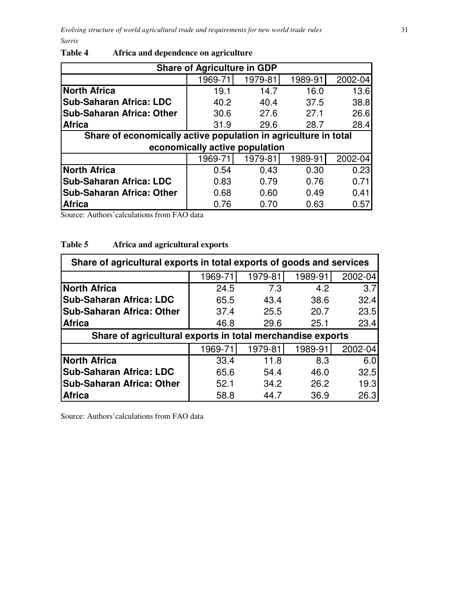| <b>Share of Agriculture in GDP</b>                              |                                |         |         |         |  |  |  |  |  |
|-----------------------------------------------------------------|--------------------------------|---------|---------|---------|--|--|--|--|--|
|                                                                 | 1969-71                        | 1979-81 | 1989-91 | 2002-04 |  |  |  |  |  |
| <b>North Africa</b>                                             | 19.1                           | 14.7    | 16.0    | 13.6    |  |  |  |  |  |
| <b>Sub-Saharan Africa: LDC</b>                                  | 40.2                           | 40.4    | 37.5    | 38.8    |  |  |  |  |  |
| <b>Sub-Saharan Africa: Other</b>                                | 30.6                           | 27.6    | 27.1    | 26.6    |  |  |  |  |  |
| <b>Africa</b>                                                   | 31.9                           | 29.6    | 28.7    | 28.4    |  |  |  |  |  |
| Share of economically active population in agriculture in total |                                |         |         |         |  |  |  |  |  |
|                                                                 | economically active population |         |         |         |  |  |  |  |  |
|                                                                 | 1969-71                        | 1979-81 | 1989-91 | 2002-04 |  |  |  |  |  |
| <b>North Africa</b>                                             | 0.54                           | 0.43    | 0.30    | 0.23    |  |  |  |  |  |
| <b>Sub-Saharan Africa: LDC</b>                                  | 0.83                           | 0.79    | 0.76    | 0.71    |  |  |  |  |  |
| <b>Sub-Saharan Africa: Other</b>                                | 0.68                           | 0.60    | 0.49    | 0.41    |  |  |  |  |  |
| <b>Africa</b>                                                   | 0.76                           | 0.70    | 0.63    | 0.57    |  |  |  |  |  |

# **Table 4 Africa and dependence on agriculture**

Source: Authors'calculations from FAO data

### **Table 5 Africa and agricultural exports**

| Share of agricultural exports in total exports of goods and services |         |         |         |         |  |  |  |  |  |
|----------------------------------------------------------------------|---------|---------|---------|---------|--|--|--|--|--|
| 1969-71<br>1979-81<br>1989-91<br>2002-04                             |         |         |         |         |  |  |  |  |  |
| <b>North Africa</b>                                                  | 24.5    | 7.3     | 4.2     | 3.7     |  |  |  |  |  |
| <b>Sub-Saharan Africa: LDC</b>                                       | 65.5    | 43.4    | 38.6    | 32.4    |  |  |  |  |  |
| <b>Sub-Saharan Africa: Other</b>                                     | 37.4    | 25.5    | 20.7    | 23.5    |  |  |  |  |  |
| <b>Africa</b>                                                        | 46.8    | 29.6    | 25.1    | 23.4    |  |  |  |  |  |
| Share of agricultural exports in total merchandise exports           |         |         |         |         |  |  |  |  |  |
|                                                                      | 1969-71 | 1979-81 | 1989-91 | 2002-04 |  |  |  |  |  |
| <b>North Africa</b>                                                  | 33.4    | 11.8    | 8.3     | 6.0     |  |  |  |  |  |
| <b>Sub-Saharan Africa: LDC</b>                                       | 65.6    | 54.4    | 46.0    | 32.5    |  |  |  |  |  |
| <b>Sub-Saharan Africa: Other</b>                                     | 52.1    | 34.2    | 26.2    | 19.3    |  |  |  |  |  |
| <b>Africa</b>                                                        | 58.8    | 44.7    | 36.9    | 26.3    |  |  |  |  |  |

Source: Authors'calculations from FAO data